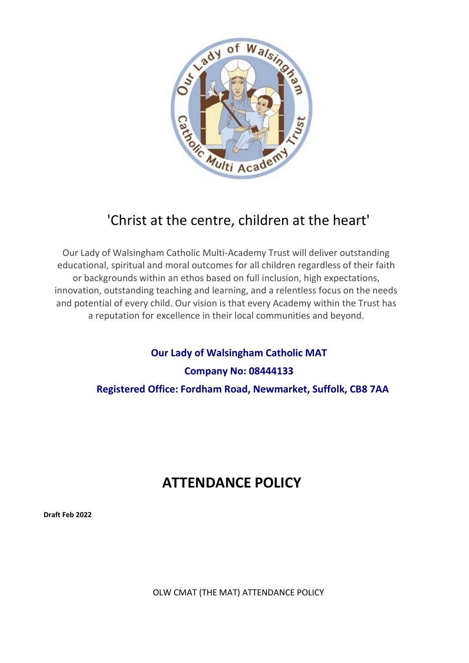

# 'Christ at the centre, children at the heart'

Our Lady of Walsingham Catholic Multi-Academy Trust will deliver outstanding educational, spiritual and moral outcomes for all children regardless of their faith or backgrounds within an ethos based on full inclusion, high expectations, innovation, outstanding teaching and learning, and a relentless focus on the needs and potential of every child. Our vision is that every Academy within the Trust has a reputation for excellence in their local communities and beyond.

> **Our Lady of Walsingham Catholic MAT Company No: 08444133 Registered Office: Fordham Road, Newmarket, Suffolk, CB8 7AA**

# **ATTENDANCE POLICY**

**Draft Feb 2022**

OLW CMAT (THE MAT) ATTENDANCE POLICY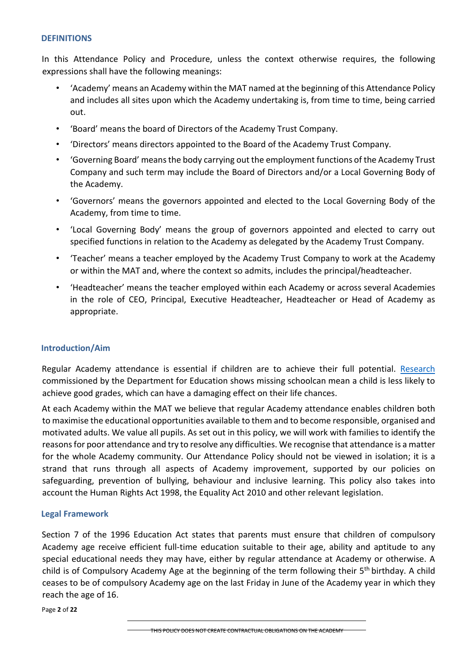#### **DEFINITIONS**

In this Attendance Policy and Procedure, unless the context otherwise requires, the following expressions shall have the following meanings:

- 'Academy' means an Academy within the MAT named at the beginning of this Attendance Policy and includes all sites upon which the Academy undertaking is, from time to time, being carried out.
- 'Board' means the board of Directors of the Academy Trust Company.
- 'Directors' means directors appointed to the Board of the Academy Trust Company.
- 'Governing Board' means the body carrying out the employment functions of the Academy Trust Company and such term may include the Board of Directors and/or a Local Governing Body of the Academy.
- 'Governors' means the governors appointed and elected to the Local Governing Body of the Academy, from time to time.
- 'Local Governing Body' means the group of governors appointed and elected to carry out specified functions in relation to the Academy as delegated by the Academy Trust Company.
- 'Teacher' means a teacher employed by the Academy Trust Company to work at the Academy or within the MAT and, where the context so admits, includes the principal/headteacher.
- 'Headteacher' means the teacher employed within each Academy or across several Academies in the role of CEO, Principal, Executive Headteacher, Headteacher or Head of Academy as appropriate.

## **Introduction/Aim**

Regular Academy attendance is essential if children are to achieve their full potential. [Research](https://www.gov.uk/government/publications/absence-and-attainment-at-key-stages-2-and-4-2013-to-2014) commissioned by the Department for Education shows missing schoolcan mean a child is less likely to achieve good grades, which can have a damaging effect on their life chances.

At each Academy within the MAT we believe that regular Academy attendance enables children both to maximise the educational opportunities available to them and to become responsible, organised and motivated adults. We value all pupils. As set out in this policy, we will work with families to identify the reasons for poor attendance and try to resolve any difficulties. We recognise that attendance is a matter for the whole Academy community. Our Attendance Policy should not be viewed in isolation; it is a strand that runs through all aspects of Academy improvement, supported by our policies on safeguarding, prevention of bullying, behaviour and inclusive learning. This policy also takes into account the Human Rights Act 1998, the Equality Act 2010 and other relevant legislation.

## **Legal Framework**

Section 7 of the 1996 Education Act states that parents must ensure that children of compulsory Academy age receive efficient full-time education suitable to their age, ability and aptitude to any special educational needs they may have, either by regular attendance at Academy or otherwise. A child is of Compulsory Academy Age at the beginning of the term following their 5<sup>th</sup> birthday. A child ceases to be of compulsory Academy age on the last Friday in June of the Academy year in which they reach the age of 16.

Page **2** of **22**

THIS POLICY DOES NOT CREATE CONTRACTUAL OBLIGATIONS ON THE ACADEMY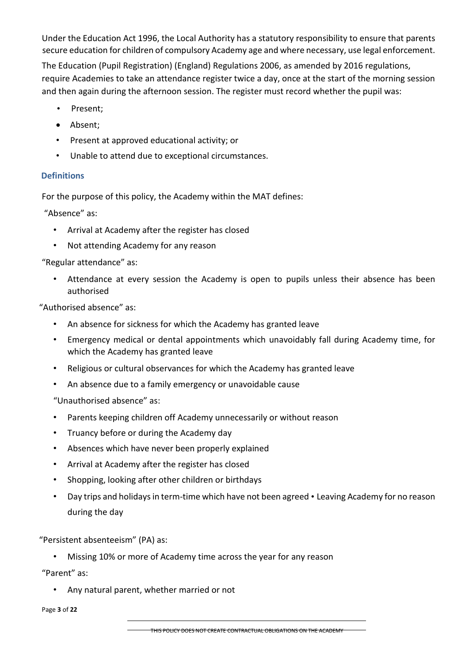Under the Education Act 1996, the Local Authority has a statutory responsibility to ensure that parents secure education for children of compulsory Academy age and where necessary, use legal enforcement.

The Education (Pupil Registration) (England) Regulations 2006, as amended by 2016 regulations, require Academies to take an attendance register twice a day, once at the start of the morning session and then again during the afternoon session. The register must record whether the pupil was:

- Present;
- Absent;
- Present at approved educational activity; or
- Unable to attend due to exceptional circumstances.

## **Definitions**

For the purpose of this policy, the Academy within the MAT defines:

"Absence" as:

- Arrival at Academy after the register has closed
- Not attending Academy for any reason

"Regular attendance" as:

Attendance at every session the Academy is open to pupils unless their absence has been authorised

"Authorised absence" as:

- An absence for sickness for which the Academy has granted leave
- Emergency medical or dental appointments which unavoidably fall during Academy time, for which the Academy has granted leave
- Religious or cultural observances for which the Academy has granted leave
- An absence due to a family emergency or unavoidable cause

"Unauthorised absence" as:

- Parents keeping children off Academy unnecessarily or without reason
- Truancy before or during the Academy day
- Absences which have never been properly explained
- Arrival at Academy after the register has closed
- Shopping, looking after other children or birthdays
- Day trips and holidays in term-time which have not been agreed Leaving Academy for no reason during the day

"Persistent absenteeism" (PA) as:

• Missing 10% or more of Academy time across the year for any reason

"Parent" as:

• Any natural parent, whether married or not

Page **3** of **22**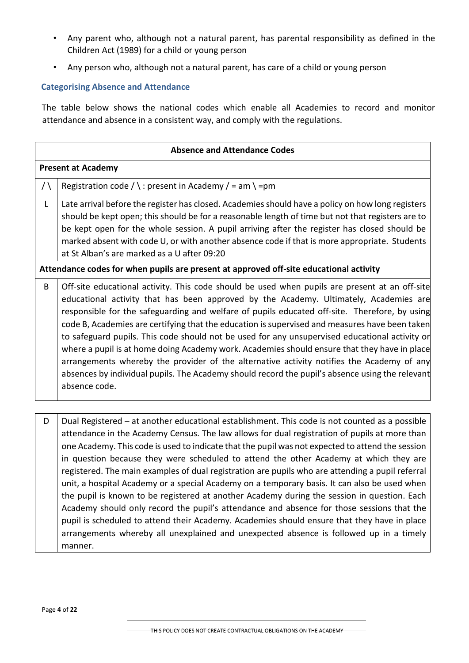- Any parent who, although not a natural parent, has parental responsibility as defined in the Children Act (1989) for a child or young person
- Any person who, although not a natural parent, has care of a child or young person

## **Categorising Absence and Attendance**

The table below shows the national codes which enable all Academies to record and monitor attendance and absence in a consistent way, and comply with the regulations.

|               | <b>Absence and Attendance Codes</b>                                                                                                                                                                                                                                                                                                                                                                                                                                                                                                                                                                                                                                                                                                                                                                           |  |  |  |
|---------------|---------------------------------------------------------------------------------------------------------------------------------------------------------------------------------------------------------------------------------------------------------------------------------------------------------------------------------------------------------------------------------------------------------------------------------------------------------------------------------------------------------------------------------------------------------------------------------------------------------------------------------------------------------------------------------------------------------------------------------------------------------------------------------------------------------------|--|--|--|
|               | <b>Present at Academy</b>                                                                                                                                                                                                                                                                                                                                                                                                                                                                                                                                                                                                                                                                                                                                                                                     |  |  |  |
| $/ \setminus$ | Registration code / \: present in Academy / = am \ = pm                                                                                                                                                                                                                                                                                                                                                                                                                                                                                                                                                                                                                                                                                                                                                       |  |  |  |
| $\mathsf{L}$  | Late arrival before the register has closed. Academies should have a policy on how long registers<br>should be kept open; this should be for a reasonable length of time but not that registers are to<br>be kept open for the whole session. A pupil arriving after the register has closed should be<br>marked absent with code U, or with another absence code if that is more appropriate. Students<br>at St Alban's are marked as a U after 09:20                                                                                                                                                                                                                                                                                                                                                        |  |  |  |
|               | Attendance codes for when pupils are present at approved off-site educational activity                                                                                                                                                                                                                                                                                                                                                                                                                                                                                                                                                                                                                                                                                                                        |  |  |  |
| B             | Off-site educational activity. This code should be used when pupils are present at an off-site<br>educational activity that has been approved by the Academy. Ultimately, Academies are<br>responsible for the safeguarding and welfare of pupils educated off-site. Therefore, by using<br>code B, Academies are certifying that the education is supervised and measures have been taken<br>to safeguard pupils. This code should not be used for any unsupervised educational activity or<br>where a pupil is at home doing Academy work. Academies should ensure that they have in place<br>arrangements whereby the provider of the alternative activity notifies the Academy of any<br>absences by individual pupils. The Academy should record the pupil's absence using the relevant<br>absence code. |  |  |  |
| D             | Dual Registered - at another educational establishment. This code is not counted as a possible<br>attendance in the Academy Census. The law allows for dual registration of pupils at more than<br>one Academy. This code is used to indicate that the pupil was not expected to attend the session<br>in question because they were scheduled to attend the other Academy at which they are                                                                                                                                                                                                                                                                                                                                                                                                                  |  |  |  |

registered. The main examples of dual registration are pupils who are attending a pupil referral unit, a hospital Academy or a special Academy on a temporary basis. It can also be used when the pupil is known to be registered at another Academy during the session in question. Each Academy should only record the pupil's attendance and absence for those sessions that the pupil is scheduled to attend their Academy. Academies should ensure that they have in place arrangements whereby all unexplained and unexpected absence is followed up in a timely manner.

THIS POLICY DOES NOT CREATE CONTRACTUAL OBLIGATIONS ON THE ACADEMY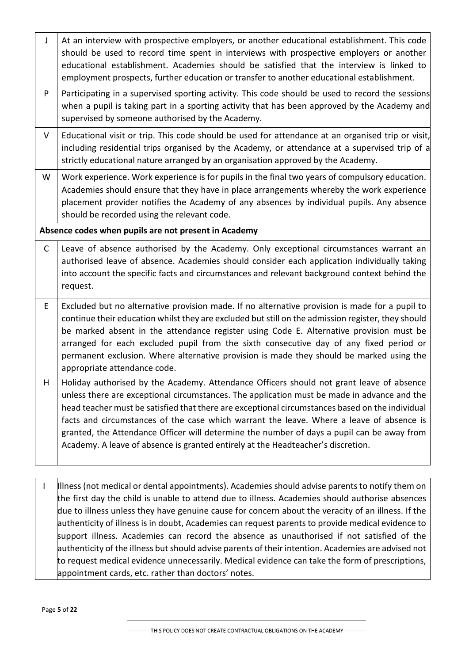| J            | At an interview with prospective employers, or another educational establishment. This code<br>should be used to record time spent in interviews with prospective employers or another<br>educational establishment. Academies should be satisfied that the interview is linked to<br>employment prospects, further education or transfer to another educational establishment.                                                                                                                                                                                          |  |  |  |
|--------------|--------------------------------------------------------------------------------------------------------------------------------------------------------------------------------------------------------------------------------------------------------------------------------------------------------------------------------------------------------------------------------------------------------------------------------------------------------------------------------------------------------------------------------------------------------------------------|--|--|--|
| P            | Participating in a supervised sporting activity. This code should be used to record the sessions<br>when a pupil is taking part in a sporting activity that has been approved by the Academy and<br>supervised by someone authorised by the Academy.                                                                                                                                                                                                                                                                                                                     |  |  |  |
| V            | Educational visit or trip. This code should be used for attendance at an organised trip or visit,<br>including residential trips organised by the Academy, or attendance at a supervised trip of a<br>strictly educational nature arranged by an organisation approved by the Academy.                                                                                                                                                                                                                                                                                   |  |  |  |
| W            | Work experience. Work experience is for pupils in the final two years of compulsory education.<br>Academies should ensure that they have in place arrangements whereby the work experience<br>placement provider notifies the Academy of any absences by individual pupils. Any absence<br>should be recorded using the relevant code.                                                                                                                                                                                                                                   |  |  |  |
|              | Absence codes when pupils are not present in Academy                                                                                                                                                                                                                                                                                                                                                                                                                                                                                                                     |  |  |  |
| $\mathsf{C}$ | Leave of absence authorised by the Academy. Only exceptional circumstances warrant an<br>authorised leave of absence. Academies should consider each application individually taking<br>into account the specific facts and circumstances and relevant background context behind the<br>request.                                                                                                                                                                                                                                                                         |  |  |  |
| E            | Excluded but no alternative provision made. If no alternative provision is made for a pupil to<br>continue their education whilst they are excluded but still on the admission register, they should<br>be marked absent in the attendance register using Code E. Alternative provision must be<br>arranged for each excluded pupil from the sixth consecutive day of any fixed period or<br>permanent exclusion. Where alternative provision is made they should be marked using the<br>appropriate attendance code.                                                    |  |  |  |
| H            | Holiday authorised by the Academy. Attendance Officers should not grant leave of absence<br>unless there are exceptional circumstances. The application must be made in advance and the<br>head teacher must be satisfied that there are exceptional circumstances based on the individual<br>facts and circumstances of the case which warrant the leave. Where a leave of absence is<br>granted, the Attendance Officer will determine the number of days a pupil can be away from<br>Academy. A leave of absence is granted entirely at the Headteacher's discretion. |  |  |  |

I | Illness (not medical or dental appointments). Academies should advise parents to notify them on the first day the child is unable to attend due to illness. Academies should authorise absences due to illness unless they have genuine cause for concern about the veracity of an illness. If the authenticity of illness is in doubt, Academies can request parents to provide medical evidence to support illness. Academies can record the absence as unauthorised if not satisfied of the authenticity of the illness but should advise parents of their intention. Academies are advised not to request medical evidence unnecessarily. Medical evidence can take the form of prescriptions, appointment cards, etc. rather than doctors' notes.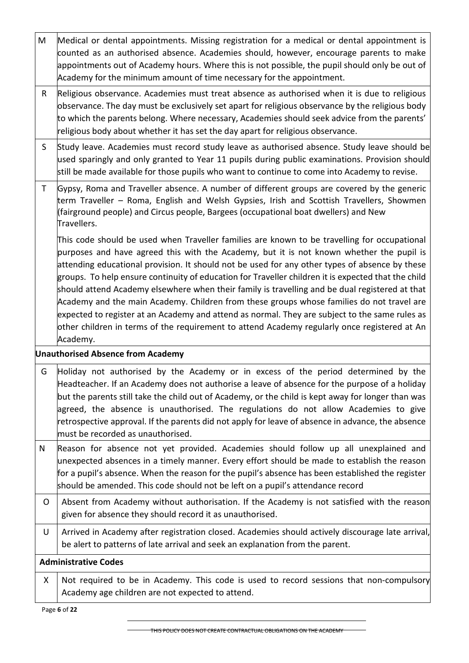| M            | Medical or dental appointments. Missing registration for a medical or dental appointment is<br>counted as an authorised absence. Academies should, however, encourage parents to make<br>appointments out of Academy hours. Where this is not possible, the pupil should only be out of<br>Academy for the minimum amount of time necessary for the appointment.                                                                                                                                                                                                                                                                                                                                                                                                                                               |
|--------------|----------------------------------------------------------------------------------------------------------------------------------------------------------------------------------------------------------------------------------------------------------------------------------------------------------------------------------------------------------------------------------------------------------------------------------------------------------------------------------------------------------------------------------------------------------------------------------------------------------------------------------------------------------------------------------------------------------------------------------------------------------------------------------------------------------------|
| R            | Religious observance. Academies must treat absence as authorised when it is due to religious<br>observance. The day must be exclusively set apart for religious observance by the religious body<br>to which the parents belong. Where necessary, Academies should seek advice from the parents'<br>religious body about whether it has set the day apart for religious observance.                                                                                                                                                                                                                                                                                                                                                                                                                            |
| S            | Study leave. Academies must record study leave as authorised absence. Study leave should be<br>used sparingly and only granted to Year 11 pupils during public examinations. Provision should<br>still be made available for those pupils who want to continue to come into Academy to revise.                                                                                                                                                                                                                                                                                                                                                                                                                                                                                                                 |
| $\mathsf{T}$ | Gypsy, Roma and Traveller absence. A number of different groups are covered by the generic<br>term Traveller – Roma, English and Welsh Gypsies, Irish and Scottish Travellers, Showmen<br>(fairground people) and Circus people, Bargees (occupational boat dwellers) and New<br>Travellers.                                                                                                                                                                                                                                                                                                                                                                                                                                                                                                                   |
|              | This code should be used when Traveller families are known to be travelling for occupational<br>purposes and have agreed this with the Academy, but it is not known whether the pupil is<br>attending educational provision. It should not be used for any other types of absence by these<br>groups. To help ensure continuity of education for Traveller children it is expected that the child<br>should attend Academy elsewhere when their family is travelling and be dual registered at that<br>Academy and the main Academy. Children from these groups whose families do not travel are<br>expected to register at an Academy and attend as normal. They are subject to the same rules as<br>other children in terms of the requirement to attend Academy regularly once registered at An<br>Academy. |
|              | <b>Unauthorised Absence from Academy</b>                                                                                                                                                                                                                                                                                                                                                                                                                                                                                                                                                                                                                                                                                                                                                                       |
| G            | Holiday not authorised by the Academy or in excess of the period determined by the<br>Headteacher. If an Academy does not authorise a leave of absence for the purpose of a holiday<br>but the parents still take the child out of Academy, or the child is kept away for longer than was<br>agreed, the absence is unauthorised. The regulations do not allow Academies to give<br>retrospective approval. If the parents did not apply for leave of absence in advance, the absence<br>must be recorded as unauthorised.                                                                                                                                                                                                                                                                                     |
| N            | Reason for absence not yet provided. Academies should follow up all unexplained and<br>unexpected absences in a timely manner. Every effort should be made to establish the reason<br>for a pupil's absence. When the reason for the pupil's absence has been established the register<br>should be amended. This code should not be left on a pupil's attendance record                                                                                                                                                                                                                                                                                                                                                                                                                                       |
| O            | Absent from Academy without authorisation. If the Academy is not satisfied with the reason<br>given for absence they should record it as unauthorised.                                                                                                                                                                                                                                                                                                                                                                                                                                                                                                                                                                                                                                                         |
| U            | Arrived in Academy after registration closed. Academies should actively discourage late arrival,<br>be alert to patterns of late arrival and seek an explanation from the parent.                                                                                                                                                                                                                                                                                                                                                                                                                                                                                                                                                                                                                              |
|              | <b>Administrative Codes</b>                                                                                                                                                                                                                                                                                                                                                                                                                                                                                                                                                                                                                                                                                                                                                                                    |
| X            | Not required to be in Academy. This code is used to record sessions that non-compulsory<br>Academy age children are not expected to attend.                                                                                                                                                                                                                                                                                                                                                                                                                                                                                                                                                                                                                                                                    |

Page **6** of **22**

THIS POLICY DOES NOT CREATE CONTRACTUAL OBLIGATIONS ON THE ACADEMY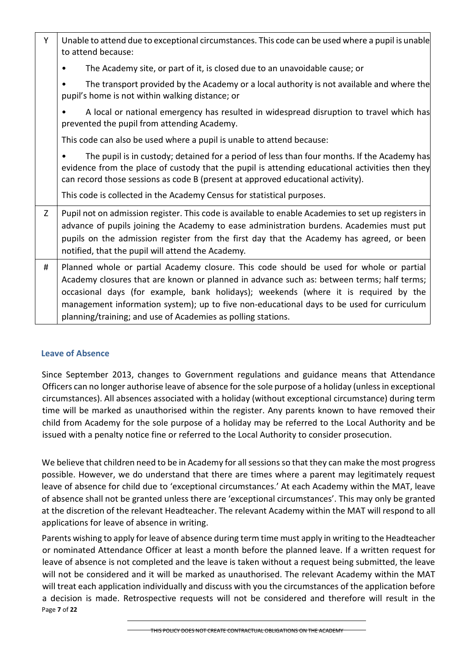| Y | Unable to attend due to exceptional circumstances. This code can be used where a pupil is unable<br>to attend because:                                                                                                                                                                                                                                                                                                                   |
|---|------------------------------------------------------------------------------------------------------------------------------------------------------------------------------------------------------------------------------------------------------------------------------------------------------------------------------------------------------------------------------------------------------------------------------------------|
|   | The Academy site, or part of it, is closed due to an unavoidable cause; or                                                                                                                                                                                                                                                                                                                                                               |
|   | The transport provided by the Academy or a local authority is not available and where the<br>٠<br>pupil's home is not within walking distance; or                                                                                                                                                                                                                                                                                        |
|   | A local or national emergency has resulted in widespread disruption to travel which has<br>prevented the pupil from attending Academy.                                                                                                                                                                                                                                                                                                   |
|   | This code can also be used where a pupil is unable to attend because:                                                                                                                                                                                                                                                                                                                                                                    |
|   | The pupil is in custody; detained for a period of less than four months. If the Academy has<br>evidence from the place of custody that the pupil is attending educational activities then they<br>can record those sessions as code B (present at approved educational activity).                                                                                                                                                        |
|   | This code is collected in the Academy Census for statistical purposes.                                                                                                                                                                                                                                                                                                                                                                   |
| Z | Pupil not on admission register. This code is available to enable Academies to set up registers in<br>advance of pupils joining the Academy to ease administration burdens. Academies must put<br>pupils on the admission register from the first day that the Academy has agreed, or been<br>notified, that the pupil will attend the Academy.                                                                                          |
| # | Planned whole or partial Academy closure. This code should be used for whole or partial<br>Academy closures that are known or planned in advance such as: between terms; half terms;<br>occasional days (for example, bank holidays); weekends (where it is required by the<br>management information system); up to five non-educational days to be used for curriculum<br>planning/training; and use of Academies as polling stations. |

# **Leave of Absence**

Since September 2013, changes to Government regulations and guidance means that Attendance Officers can no longer authorise leave of absence for the sole purpose of a holiday (unless in exceptional circumstances). All absences associated with a holiday (without exceptional circumstance) during term time will be marked as unauthorised within the register. Any parents known to have removed their child from Academy for the sole purpose of a holiday may be referred to the Local Authority and be issued with a penalty notice fine or referred to the Local Authority to consider prosecution.

We believe that children need to be in Academy for all sessions so that they can make the most progress possible. However, we do understand that there are times where a parent may legitimately request leave of absence for child due to 'exceptional circumstances.' At each Academy within the MAT, leave of absence shall not be granted unless there are 'exceptional circumstances'. This may only be granted at the discretion of the relevant Headteacher. The relevant Academy within the MAT will respond to all applications for leave of absence in writing.

Page **7** of **22** Parents wishing to apply for leave of absence during term time must apply in writing to the Headteacher or nominated Attendance Officer at least a month before the planned leave. If a written request for leave of absence is not completed and the leave is taken without a request being submitted, the leave will not be considered and it will be marked as unauthorised. The relevant Academy within the MAT will treat each application individually and discuss with you the circumstances of the application before a decision is made. Retrospective requests will not be considered and therefore will result in the

THIS POLICY DOES NOT CREATE CONTRACTUAL OBLIGATIONS ON THE ACADEMY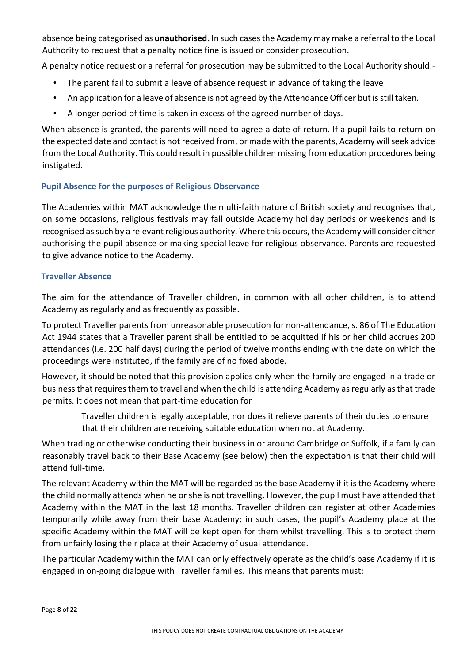absence being categorised as **unauthorised.** In such cases the Academy may make a referral to the Local Authority to request that a penalty notice fine is issued or consider prosecution.

A penalty notice request or a referral for prosecution may be submitted to the Local Authority should:-

- The parent fail to submit a leave of absence request in advance of taking the leave
- An application for a leave of absence is not agreed by the Attendance Officer but is still taken.
- A longer period of time is taken in excess of the agreed number of days.

When absence is granted, the parents will need to agree a date of return. If a pupil fails to return on the expected date and contact is not received from, or made with the parents, Academy will seek advice from the Local Authority. This could result in possible children missing from education procedures being instigated.

# **Pupil Absence for the purposes of Religious Observance**

The Academies within MAT acknowledge the multi-faith nature of British society and recognises that, on some occasions, religious festivals may fall outside Academy holiday periods or weekends and is recognised as such by a relevant religious authority. Where this occurs, the Academy will consider either authorising the pupil absence or making special leave for religious observance. Parents are requested to give advance notice to the Academy.

## **Traveller Absence**

The aim for the attendance of Traveller children, in common with all other children, is to attend Academy as regularly and as frequently as possible.

To protect Traveller parents from unreasonable prosecution for non-attendance, s. 86 of The Education Act 1944 states that a Traveller parent shall be entitled to be acquitted if his or her child accrues 200 attendances (i.e. 200 half days) during the period of twelve months ending with the date on which the proceedings were instituted, if the family are of no fixed abode.

However, it should be noted that this provision applies only when the family are engaged in a trade or business that requires them to travel and when the child is attending Academy as regularly as that trade permits. It does not mean that part-time education for

Traveller children is legally acceptable, nor does it relieve parents of their duties to ensure that their children are receiving suitable education when not at Academy.

When trading or otherwise conducting their business in or around Cambridge or Suffolk, if a family can reasonably travel back to their Base Academy (see below) then the expectation is that their child will attend full-time.

The relevant Academy within the MAT will be regarded as the base Academy if it is the Academy where the child normally attends when he or she is not travelling. However, the pupil must have attended that Academy within the MAT in the last 18 months. Traveller children can register at other Academies temporarily while away from their base Academy; in such cases, the pupil's Academy place at the specific Academy within the MAT will be kept open for them whilst travelling. This is to protect them from unfairly losing their place at their Academy of usual attendance.

The particular Academy within the MAT can only effectively operate as the child's base Academy if it is engaged in on-going dialogue with Traveller families. This means that parents must: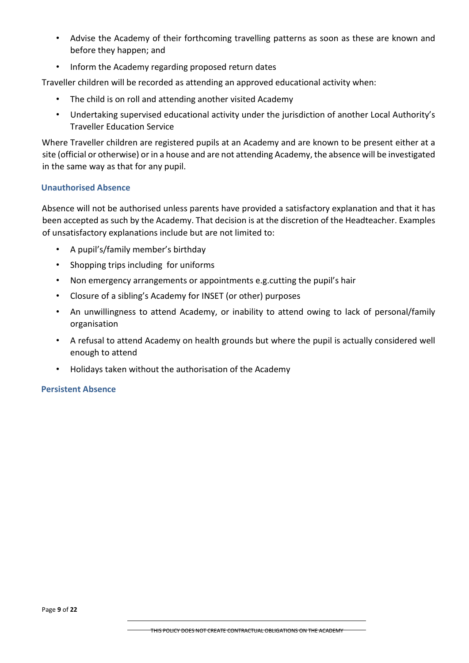- Advise the Academy of their forthcoming travelling patterns as soon as these are known and before they happen; and
- Inform the Academy regarding proposed return dates

Traveller children will be recorded as attending an approved educational activity when:

- The child is on roll and attending another visited Academy
- Undertaking supervised educational activity under the jurisdiction of another Local Authority's Traveller Education Service

Where Traveller children are registered pupils at an Academy and are known to be present either at a site (official or otherwise) or in a house and are not attending Academy, the absence will be investigated in the same way as that for any pupil.

## **Unauthorised Absence**

Absence will not be authorised unless parents have provided a satisfactory explanation and that it has been accepted as such by the Academy. That decision is at the discretion of the Headteacher. Examples of unsatisfactory explanations include but are not limited to:

- A pupil's/family member's birthday
- Shopping trips including for uniforms
- Non emergency arrangements or appointments e.g.cutting the pupil's hair
- Closure of a sibling's Academy for INSET (or other) purposes
- An unwillingness to attend Academy, or inability to attend owing to lack of personal/family organisation
- A refusal to attend Academy on health grounds but where the pupil is actually considered well enough to attend
- Holidays taken without the authorisation of the Academy

## **Persistent Absence**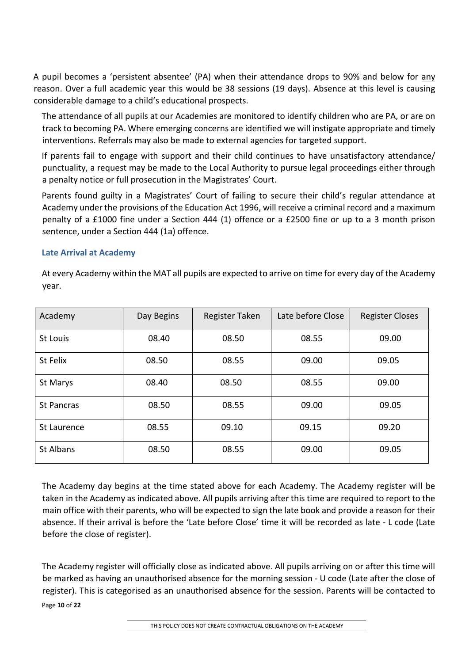A pupil becomes a 'persistent absentee' (PA) when their attendance drops to 90% and below for any reason. Over a full academic year this would be 38 sessions (19 days). Absence at this level is causing considerable damage to a child's educational prospects.

The attendance of all pupils at our Academies are monitored to identify children who are PA, or are on track to becoming PA. Where emerging concerns are identified we will instigate appropriate and timely interventions. Referrals may also be made to external agencies for targeted support.

If parents fail to engage with support and their child continues to have unsatisfactory attendance/ punctuality, a request may be made to the Local Authority to pursue legal proceedings either through a penalty notice or full prosecution in the Magistrates' Court.

Parents found guilty in a Magistrates' Court of failing to secure their child's regular attendance at Academy under the provisions of the Education Act 1996, will receive a criminal record and a maximum penalty of a £1000 fine under a Section 444 (1) offence or a £2500 fine or up to a 3 month prison sentence, under a Section 444 (1a) offence.

## **Late Arrival at Academy**

At every Academy within the MAT all pupils are expected to arrive on time for every day of the Academy year.

| Academy           | Day Begins | Register Taken | Late before Close | <b>Register Closes</b> |
|-------------------|------------|----------------|-------------------|------------------------|
| St Louis          | 08.40      | 08.50          | 08.55             | 09.00                  |
| St Felix          | 08.50      | 08.55          | 09.00             | 09.05                  |
| St Marys          | 08.40      | 08.50          | 08.55             | 09.00                  |
| <b>St Pancras</b> | 08.50      | 08.55          | 09.00             | 09.05                  |
| St Laurence       | 08.55      | 09.10          | 09.15             | 09.20                  |
| St Albans         | 08.50      | 08.55          | 09.00             | 09.05                  |

The Academy day begins at the time stated above for each Academy. The Academy register will be taken in the Academy as indicated above. All pupils arriving after this time are required to report to the main office with their parents, who will be expected to sign the late book and provide a reason for their absence. If their arrival is before the 'Late before Close' time it will be recorded as late - L code (Late before the close of register).

Page **10** of **22** The Academy register will officially close as indicated above. All pupils arriving on or after this time will be marked as having an unauthorised absence for the morning session - U code (Late after the close of register). This is categorised as an unauthorised absence for the session. Parents will be contacted to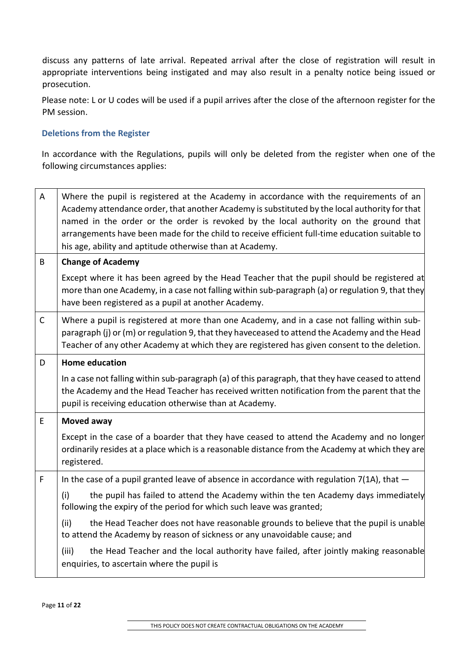discuss any patterns of late arrival. Repeated arrival after the close of registration will result in appropriate interventions being instigated and may also result in a penalty notice being issued or prosecution.

Please note: L or U codes will be used if a pupil arrives after the close of the afternoon register for the PM session.

# **Deletions from the Register**

In accordance with the Regulations, pupils will only be deleted from the register when one of the following circumstances applies:

| A            | Where the pupil is registered at the Academy in accordance with the requirements of an<br>Academy attendance order, that another Academy is substituted by the local authority for that<br>named in the order or the order is revoked by the local authority on the ground that<br>arrangements have been made for the child to receive efficient full-time education suitable to<br>his age, ability and aptitude otherwise than at Academy. |
|--------------|-----------------------------------------------------------------------------------------------------------------------------------------------------------------------------------------------------------------------------------------------------------------------------------------------------------------------------------------------------------------------------------------------------------------------------------------------|
| B            | <b>Change of Academy</b>                                                                                                                                                                                                                                                                                                                                                                                                                      |
|              | Except where it has been agreed by the Head Teacher that the pupil should be registered at<br>more than one Academy, in a case not falling within sub-paragraph (a) or regulation 9, that they<br>have been registered as a pupil at another Academy.                                                                                                                                                                                         |
| $\mathsf{C}$ | Where a pupil is registered at more than one Academy, and in a case not falling within sub-<br>paragraph (j) or (m) or regulation 9, that they haveceased to attend the Academy and the Head<br>Teacher of any other Academy at which they are registered has given consent to the deletion.                                                                                                                                                  |
| D            | <b>Home education</b>                                                                                                                                                                                                                                                                                                                                                                                                                         |
|              | In a case not falling within sub-paragraph (a) of this paragraph, that they have ceased to attend<br>the Academy and the Head Teacher has received written notification from the parent that the<br>pupil is receiving education otherwise than at Academy.                                                                                                                                                                                   |
| E            | Moved away                                                                                                                                                                                                                                                                                                                                                                                                                                    |
|              | Except in the case of a boarder that they have ceased to attend the Academy and no longer<br>ordinarily resides at a place which is a reasonable distance from the Academy at which they are<br>registered.                                                                                                                                                                                                                                   |
| F            | In the case of a pupil granted leave of absence in accordance with regulation $7(1A)$ , that $-$                                                                                                                                                                                                                                                                                                                                              |
|              | (i)<br>the pupil has failed to attend the Academy within the ten Academy days immediately<br>following the expiry of the period for which such leave was granted;                                                                                                                                                                                                                                                                             |
|              | the Head Teacher does not have reasonable grounds to believe that the pupil is unable<br>(ii)<br>to attend the Academy by reason of sickness or any unavoidable cause; and                                                                                                                                                                                                                                                                    |
|              | the Head Teacher and the local authority have failed, after jointly making reasonable<br>(iii)<br>enquiries, to ascertain where the pupil is                                                                                                                                                                                                                                                                                                  |

Page **11** of **22**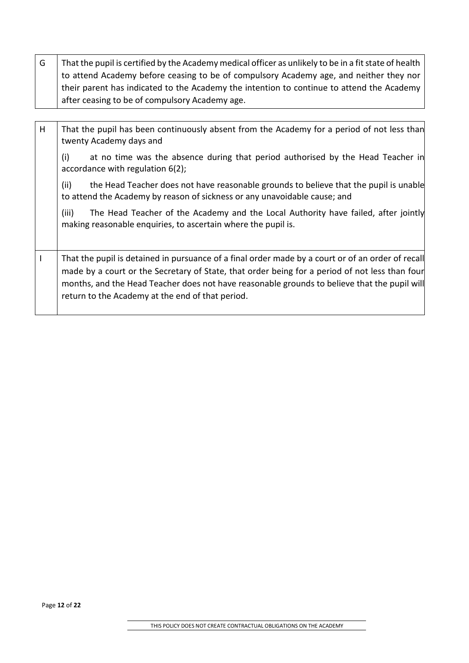$G \mid$  That the pupil is certified by the Academy medical officer as unlikely to be in a fit state of health to attend Academy before ceasing to be of compulsory Academy age, and neither they nor their parent has indicated to the Academy the intention to continue to attend the Academy after ceasing to be of compulsory Academy age.

H That the pupil has been continuously absent from the Academy for a period of not less than twenty Academy days and

(i) at no time was the absence during that period authorised by the Head Teacher in accordance with regulation 6(2);

(ii) the Head Teacher does not have reasonable grounds to believe that the pupil is unable to attend the Academy by reason of sickness or any unavoidable cause; and

(iii) The Head Teacher of the Academy and the Local Authority have failed, after jointly making reasonable enquiries, to ascertain where the pupil is.

I | That the pupil is detained in pursuance of a final order made by a court or of an order of recall made by a court or the Secretary of State, that order being for a period of not less than four months, and the Head Teacher does not have reasonable grounds to believe that the pupil will return to the Academy at the end of that period.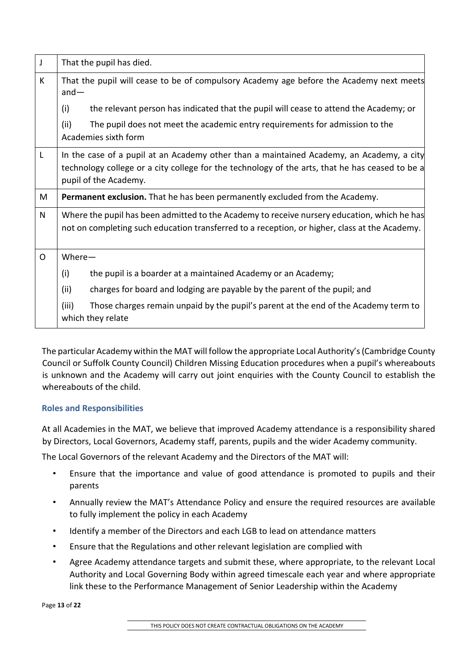| J            | That the pupil has died.                                                                                                                                                                                             |  |  |  |
|--------------|----------------------------------------------------------------------------------------------------------------------------------------------------------------------------------------------------------------------|--|--|--|
| K            | That the pupil will cease to be of compulsory Academy age before the Academy next meets<br>$and -$                                                                                                                   |  |  |  |
|              | (i)<br>the relevant person has indicated that the pupil will cease to attend the Academy; or                                                                                                                         |  |  |  |
|              | (ii)<br>The pupil does not meet the academic entry requirements for admission to the<br>Academies sixth form                                                                                                         |  |  |  |
| $\mathsf{L}$ | In the case of a pupil at an Academy other than a maintained Academy, an Academy, a city<br>technology college or a city college for the technology of the arts, that he has ceased to be a<br>pupil of the Academy. |  |  |  |
| M            | Permanent exclusion. That he has been permanently excluded from the Academy.                                                                                                                                         |  |  |  |
| N            | Where the pupil has been admitted to the Academy to receive nursery education, which he has<br>not on completing such education transferred to a reception, or higher, class at the Academy.                         |  |  |  |
| $\Omega$     | $Where-$                                                                                                                                                                                                             |  |  |  |
|              | (i)<br>the pupil is a boarder at a maintained Academy or an Academy;                                                                                                                                                 |  |  |  |
|              | (ii)<br>charges for board and lodging are payable by the parent of the pupil; and                                                                                                                                    |  |  |  |
|              | (iii)<br>Those charges remain unpaid by the pupil's parent at the end of the Academy term to<br>which they relate                                                                                                    |  |  |  |

The particular Academy within the MAT will follow the appropriate Local Authority's (Cambridge County Council or Suffolk County Council) Children Missing Education procedures when a pupil's whereabouts is unknown and the Academy will carry out joint enquiries with the County Council to establish the whereabouts of the child.

# **Roles and Responsibilities**

At all Academies in the MAT, we believe that improved Academy attendance is a responsibility shared by Directors, Local Governors, Academy staff, parents, pupils and the wider Academy community.

The Local Governors of the relevant Academy and the Directors of the MAT will:

- Ensure that the importance and value of good attendance is promoted to pupils and their parents
- Annually review the MAT's Attendance Policy and ensure the required resources are available to fully implement the policy in each Academy
- Identify a member of the Directors and each LGB to lead on attendance matters
- Ensure that the Regulations and other relevant legislation are complied with
- Agree Academy attendance targets and submit these, where appropriate, to the relevant Local Authority and Local Governing Body within agreed timescale each year and where appropriate link these to the Performance Management of Senior Leadership within the Academy

Page **13** of **22**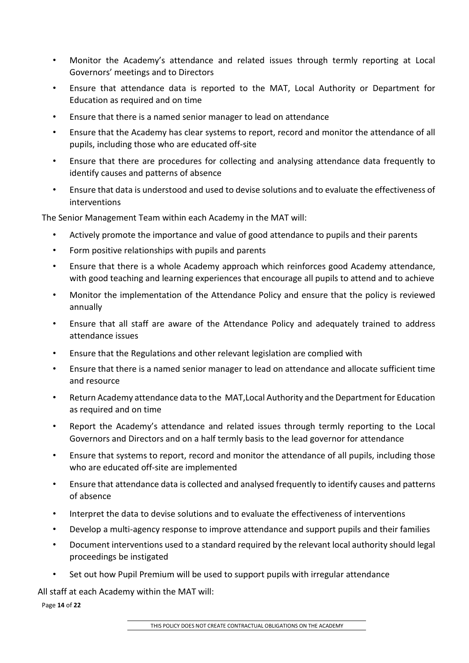- Monitor the Academy's attendance and related issues through termly reporting at Local Governors' meetings and to Directors
- Ensure that attendance data is reported to the MAT, Local Authority or Department for Education as required and on time
- Ensure that there is a named senior manager to lead on attendance
- Ensure that the Academy has clear systems to report, record and monitor the attendance of all pupils, including those who are educated off-site
- Ensure that there are procedures for collecting and analysing attendance data frequently to identify causes and patterns of absence
- Ensure that data is understood and used to devise solutions and to evaluate the effectiveness of interventions

The Senior Management Team within each Academy in the MAT will:

- Actively promote the importance and value of good attendance to pupils and their parents
- Form positive relationships with pupils and parents
- Ensure that there is a whole Academy approach which reinforces good Academy attendance, with good teaching and learning experiences that encourage all pupils to attend and to achieve
- Monitor the implementation of the Attendance Policy and ensure that the policy is reviewed annually
- Ensure that all staff are aware of the Attendance Policy and adequately trained to address attendance issues
- Ensure that the Regulations and other relevant legislation are complied with
- Ensure that there is a named senior manager to lead on attendance and allocate sufficient time and resource
- Return Academy attendance data to the MAT,Local Authority and the Department for Education as required and on time
- Report the Academy's attendance and related issues through termly reporting to the Local Governors and Directors and on a half termly basis to the lead governor for attendance
- Ensure that systems to report, record and monitor the attendance of all pupils, including those who are educated off-site are implemented
- Ensure that attendance data is collected and analysed frequently to identify causes and patterns of absence
- Interpret the data to devise solutions and to evaluate the effectiveness of interventions
- Develop a multi-agency response to improve attendance and support pupils and their families
- Document interventions used to a standard required by the relevant local authority should legal proceedings be instigated
- Set out how Pupil Premium will be used to support pupils with irregular attendance

All staff at each Academy within the MAT will:

Page **14** of **22**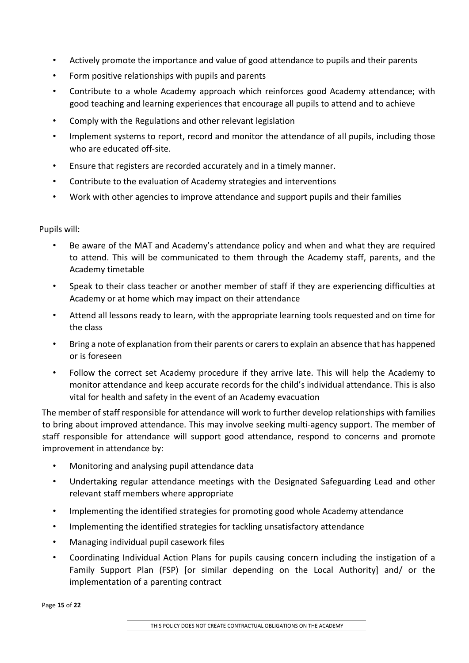- Actively promote the importance and value of good attendance to pupils and their parents
- Form positive relationships with pupils and parents
- Contribute to a whole Academy approach which reinforces good Academy attendance; with good teaching and learning experiences that encourage all pupils to attend and to achieve
- Comply with the Regulations and other relevant legislation
- Implement systems to report, record and monitor the attendance of all pupils, including those who are educated off-site.
- Ensure that registers are recorded accurately and in a timely manner.
- Contribute to the evaluation of Academy strategies and interventions
- Work with other agencies to improve attendance and support pupils and their families

Pupils will:

- Be aware of the MAT and Academy's attendance policy and when and what they are required to attend. This will be communicated to them through the Academy staff, parents, and the Academy timetable
- Speak to their class teacher or another member of staff if they are experiencing difficulties at Academy or at home which may impact on their attendance
- Attend all lessons ready to learn, with the appropriate learning tools requested and on time for the class
- Bring a note of explanation from their parents or carers to explain an absence that has happened or is foreseen
- Follow the correct set Academy procedure if they arrive late. This will help the Academy to monitor attendance and keep accurate records for the child's individual attendance. This is also vital for health and safety in the event of an Academy evacuation

The member of staff responsible for attendance will work to further develop relationships with families to bring about improved attendance. This may involve seeking multi-agency support. The member of staff responsible for attendance will support good attendance, respond to concerns and promote improvement in attendance by:

- Monitoring and analysing pupil attendance data
- Undertaking regular attendance meetings with the Designated Safeguarding Lead and other relevant staff members where appropriate
- Implementing the identified strategies for promoting good whole Academy attendance
- Implementing the identified strategies for tackling unsatisfactory attendance
- Managing individual pupil casework files
- Coordinating Individual Action Plans for pupils causing concern including the instigation of a Family Support Plan (FSP) [or similar depending on the Local Authority] and/ or the implementation of a parenting contract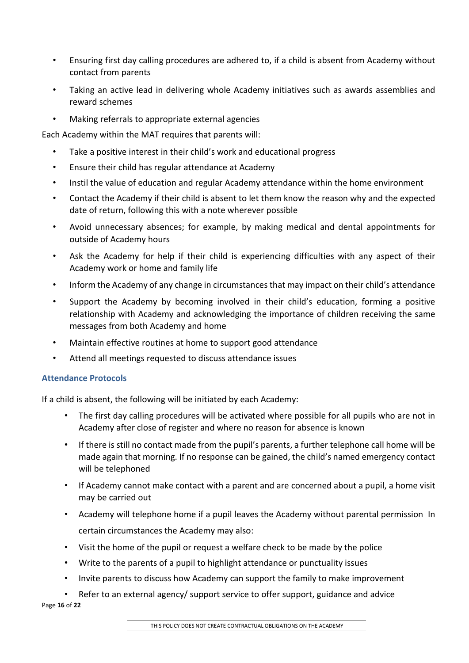- Ensuring first day calling procedures are adhered to, if a child is absent from Academy without contact from parents
- Taking an active lead in delivering whole Academy initiatives such as awards assemblies and reward schemes
- Making referrals to appropriate external agencies

Each Academy within the MAT requires that parents will:

- Take a positive interest in their child's work and educational progress
- Ensure their child has regular attendance at Academy
- Instil the value of education and regular Academy attendance within the home environment
- Contact the Academy if their child is absent to let them know the reason why and the expected date of return, following this with a note wherever possible
- Avoid unnecessary absences; for example, by making medical and dental appointments for outside of Academy hours
- Ask the Academy for help if their child is experiencing difficulties with any aspect of their Academy work or home and family life
- Inform the Academy of any change in circumstances that may impact on their child's attendance
- Support the Academy by becoming involved in their child's education, forming a positive relationship with Academy and acknowledging the importance of children receiving the same messages from both Academy and home
- Maintain effective routines at home to support good attendance
- Attend all meetings requested to discuss attendance issues

# **Attendance Protocols**

If a child is absent, the following will be initiated by each Academy:

- The first day calling procedures will be activated where possible for all pupils who are not in Academy after close of register and where no reason for absence is known
- If there is still no contact made from the pupil's parents, a further telephone call home will be made again that morning. If no response can be gained, the child's named emergency contact will be telephoned
- If Academy cannot make contact with a parent and are concerned about a pupil, a home visit may be carried out
- Academy will telephone home if a pupil leaves the Academy without parental permission In certain circumstances the Academy may also:
- Visit the home of the pupil or request a welfare check to be made by the police
- Write to the parents of a pupil to highlight attendance or punctuality issues
- Invite parents to discuss how Academy can support the family to make improvement
- Refer to an external agency/ support service to offer support, guidance and advice

Page **16** of **22**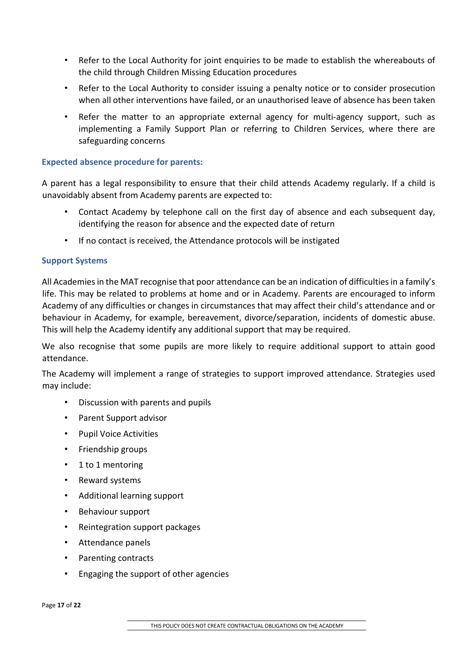- Refer to the Local Authority for joint enquiries to be made to establish the whereabouts of the child through Children Missing Education procedures
- Refer to the Local Authority to consider issuing a penalty notice or to consider prosecution when all other interventions have failed, or an unauthorised leave of absence has been taken
- Refer the matter to an appropriate external agency for multi-agency support, such as implementing a Family Support Plan or referring to Children Services, where there are safeguarding concerns

## **Expected absence procedure for parents:**

A parent has a legal responsibility to ensure that their child attends Academy regularly. If a child is unavoidably absent from Academy parents are expected to:

- Contact Academy by telephone call on the first day of absence and each subsequent day, identifying the reason for absence and the expected date of return
- If no contact is received, the Attendance protocols will be instigated

## **Support Systems**

All Academies in the MAT recognise that poor attendance can be an indication of difficulties in a family's life. This may be related to problems at home and or in Academy. Parents are encouraged to inform Academy of any difficulties or changes in circumstances that may affect their child's attendance and or behaviour in Academy, for example, bereavement, divorce/separation, incidents of domestic abuse. This will help the Academy identify any additional support that may be required.

We also recognise that some pupils are more likely to require additional support to attain good attendance.

The Academy will implement a range of strategies to support improved attendance. Strategies used may include:

- Discussion with parents and pupils
- Parent Support advisor
- Pupil Voice Activities
- Friendship groups
- 1 to 1 mentoring
- Reward systems
- Additional learning support
- Behaviour support
- Reintegration support packages
- Attendance panels
- Parenting contracts
- Engaging the support of other agencies

Page **17** of **22**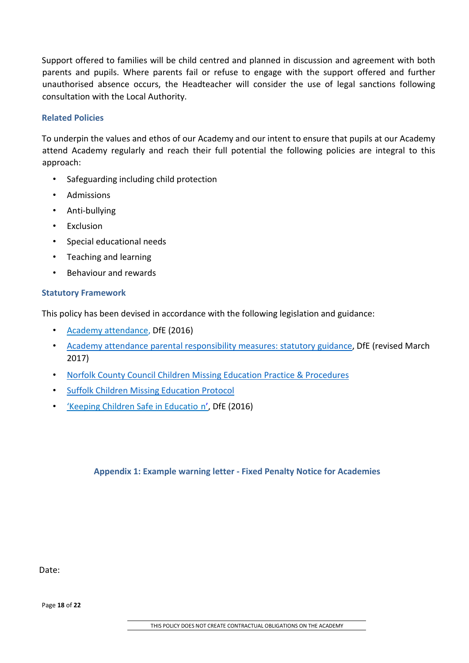Support offered to families will be child centred and planned in discussion and agreement with both parents and pupils. Where parents fail or refuse to engage with the support offered and further unauthorised absence occurs, the Headteacher will consider the use of legal sanctions following consultation with the Local Authority.

## **Related Policies**

To underpin the values and ethos of our Academy and our intent to ensure that pupils at our Academy attend Academy regularly and reach their full potential the following policies are integral to this approach:

- Safeguarding including child protection
- Admissions
- Anti-bullying
- Exclusion
- Special educational needs
- Teaching and learning
- Behaviour and rewards

#### **Statutory Framework**

This policy has been devised in accordance with the following legislation and guidance:

- [Academy attendance,](https://www.gov.uk/government/uploads/system/uploads/attachment_data/file/564599/school_attendance.pdf) DfE (2016)
- [Academy attendance parental responsibility measures: statutory guidance,](https://www.gov.uk/government/uploads/system/uploads/attachment_data/file/581539/School_attendance_parental_responsibility_measures_statutory_guidance.pdf) DfE (revised March 2017)
- Norfolk County Council Children Missing Education Practice & Procedures
- [Suffolk Children Missing Education Protocol](https://www.suffolkscb.org.uk/assets/Working-with-Children/Education/CME-Protocol-December-2016.pdf)
- ['Keeping Children Safe in Educatio](https://www.gov.uk/government/publications/keeping-children-safe-in-education--2) [n',](https://www.gov.uk/government/publications/keeping-children-safe-in-education--2) DfE (2016)

## **Appendix 1: Example warning letter - Fixed Penalty Notice for Academies**

Date:

Page **18** of **22**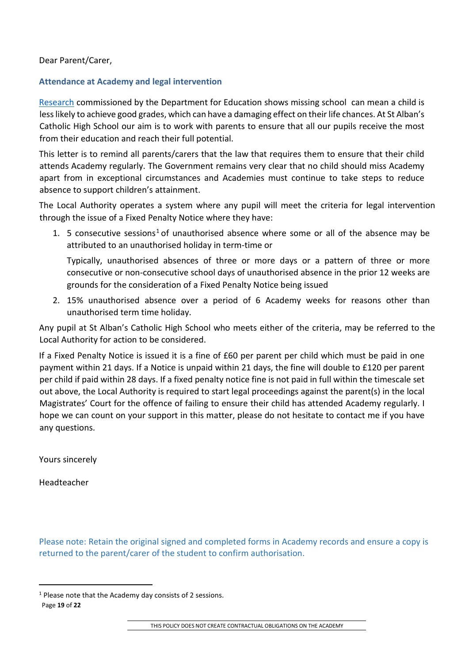Dear Parent/Carer,

# **Attendance at Academy and legal intervention**

[Research](https://www.gov.uk/government/publications/absence-and-attainment-at-key-stages-2-and-4-2013-to-2014) [co](https://www.gov.uk/government/publications/absence-and-attainment-at-key-stages-2-and-4-2013-to-2014)mmissioned by the Department for Education shows missing school can mean a child is less likely to achieve good grades, which can have a damaging effect on their life chances. At St Alban's Catholic High School our aim is to work with parents to ensure that all our pupils receive the most from their education and reach their full potential.

This letter is to remind all parents/carers that the law that requires them to ensure that their child attends Academy regularly. The Government remains very clear that no child should miss Academy apart from in exceptional circumstances and Academies must continue to take steps to reduce absence to support children's attainment.

The Local Authority operates a system where any pupil will meet the criteria for legal intervention through the issue of a Fixed Penalty Notice where they have:

[1](#page-18-0). 5 consecutive sessions<sup>1</sup> of unauthorised absence where some or all of the absence may be attributed to an unauthorised holiday in term-time or

Typically, unauthorised absences of three or more days or a pattern of three or more consecutive or non-consecutive school days of unauthorised absence in the prior 12 weeks are grounds for the consideration of a Fixed Penalty Notice being issued

2. 15% unauthorised absence over a period of 6 Academy weeks for reasons other than unauthorised term time holiday.

Any pupil at St Alban's Catholic High School who meets either of the criteria, may be referred to the Local Authority for action to be considered.

If a Fixed Penalty Notice is issued it is a fine of £60 per parent per child which must be paid in one payment within 21 days. If a Notice is unpaid within 21 days, the fine will double to £120 per parent per child if paid within 28 days. If a fixed penalty notice fine is not paid in full within the timescale set out above, the Local Authority is required to start legal proceedings against the parent(s) in the local Magistrates' Court for the offence of failing to ensure their child has attended Academy regularly. I hope we can count on your support in this matter, please do not hesitate to contact me if you have any questions.

Yours sincerely

Headteacher

Please note: Retain the original signed and completed forms in Academy records and ensure a copy is returned to the parent/carer of the student to confirm authorisation.

 $\overline{a}$ 

THIS POLICY DOES NOT CREATE CONTRACTUAL OBLIGATIONS ON THE ACADEMY

<span id="page-18-0"></span><sup>1</sup> Please note that the Academy day consists of 2 sessions.

Page **19** of **22**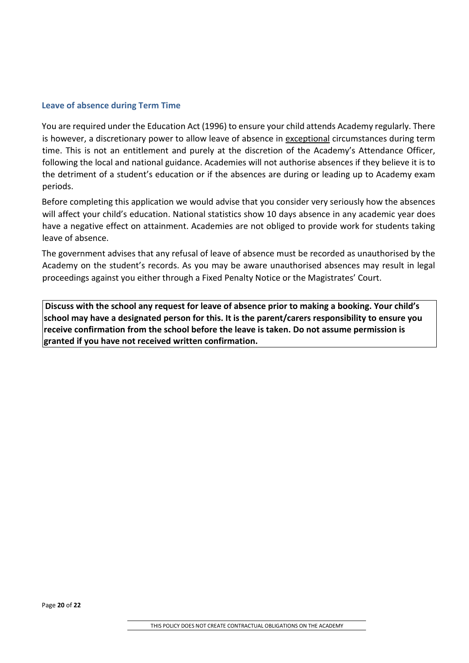#### **Leave of absence during Term Time**

You are required under the Education Act (1996) to ensure your child attends Academy regularly. There is however, a discretionary power to allow leave of absence in exceptional circumstances during term time. This is not an entitlement and purely at the discretion of the Academy's Attendance Officer, following the local and national guidance. Academies will not authorise absences if they believe it is to the detriment of a student's education or if the absences are during or leading up to Academy exam periods.

Before completing this application we would advise that you consider very seriously how the absences will affect your child's education. National statistics show 10 days absence in any academic year does have a negative effect on attainment. Academies are not obliged to provide work for students taking leave of absence.

The government advises that any refusal of leave of absence must be recorded as unauthorised by the Academy on the student's records. As you may be aware unauthorised absences may result in legal proceedings against you either through a Fixed Penalty Notice or the Magistrates' Court.

**Discuss with the school any request for leave of absence prior to making a booking. Your child's school may have a designated person for this. It is the parent/carers responsibility to ensure you receive confirmation from the school before the leave is taken. Do not assume permission is granted if you have not received written confirmation.**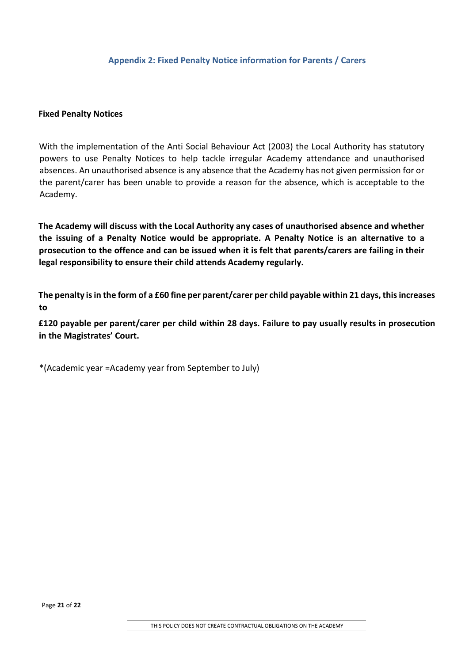#### **Fixed Penalty Notices**

With the implementation of the Anti Social Behaviour Act (2003) the Local Authority has statutory powers to use Penalty Notices to help tackle irregular Academy attendance and unauthorised absences. An unauthorised absence is any absence that the Academy has not given permission for or the parent/carer has been unable to provide a reason for the absence, which is acceptable to the Academy.

**The Academy will discuss with the Local Authority any cases of unauthorised absence and whether the issuing of a Penalty Notice would be appropriate. A Penalty Notice is an alternative to a prosecution to the offence and can be issued when it is felt that parents/carers are failing in their legal responsibility to ensure their child attends Academy regularly.** 

**The penalty is in the form of a £60 fine per parent/carer per child payable within 21 days, this increases to** 

**£120 payable per parent/carer per child within 28 days. Failure to pay usually results in prosecution in the Magistrates' Court.** 

\*(Academic year =Academy year from September to July)